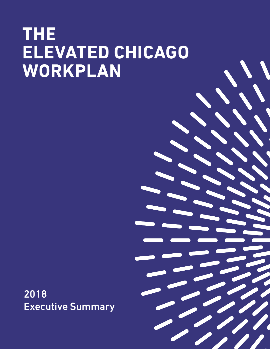# **THE ELEVATED CHICAGO WORKPLAN**

2018 Executive Summary

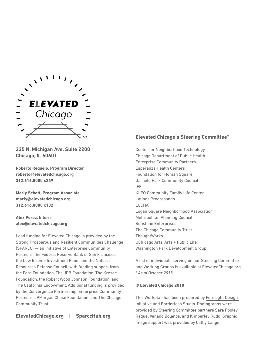

**225 N. Michigan Ave, Suite 2200 Chicago, IL 60601**

**Roberto Requejo, Program Director roberto@elevatedchicago.org 312.616.8000 x249**

**Marly Schott, Program Associate marly@elevatedchicago.org 312.616.8000 x132**

**Alex Perez, Intern alex@elevatedchicago.org**

Lead funding for Elevated Chicago is provided by the Strong Prosperous and Resilient Communities Challenge (SPARCC) — an initiative of Enterprise Community Partners, the Federal Reserve Bank of San Francisco, the Low Income Investment Fund, and the Natural Resources Defense Council, with funding support from the Ford Foundation, The JPB Foundation, The Kresge Foundation, the Robert Wood Johnson Foundation, and The California Endowment. Additional funding is provided by the Convergence Partnership, Enterprise Community Partners, JPMorgan Chase Foundation, and The Chicago Community Trust.

**ElevatedChicago.org | SparccHub.org**

#### **Elevated Chicago's Steering Committee\***

Center for Neighborhood Technology Chicago Department of Public Health Enterprise Community Partners Esperanza Health Centers Foundation for Homan Square Garfield Park Community Council IFF KLEO Community Family Life Center Latinos Progresando LUCHA Logan Square Neighborhood Association Metropolitan Planning Council Sunshine Enterprises The Chicago Community Trust **ThoughtWorks** UChicago Arts, Arts + Public Life Washington Park Development Group

A list of individuals serving on our Steering Committee and Working Groups is available at ElevatedChicago.org. *\* As of October 2018*

#### **© Elevated Chicago 2018**

This Workplan has been prepared by [Foresight Design](https://www.foresightdesign.org/)  [Initiative](https://www.foresightdesign.org/) and [Borderless Studio](https://www.borderless-studio.com/). Photographs were provided by Steering Committee partners [Sara Pooley,](https://www.sarapooley.com/) [Raquel Venado Bolanos](http://www.ruddresources.net), and [Kimberley Rudd](http://www.ruddresources.net). Graphic image support was provided by Cathy Lange.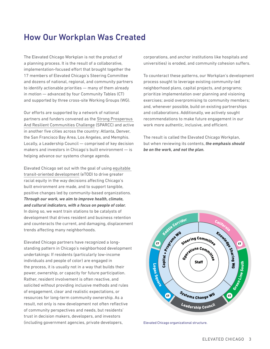## How Our Workplan Was Created

The Elevated Chicago Workplan is not the product of a planning process. It is the result of a collaborative, implementation-focused effort that brought together the 17 members of Elevated Chicago's Steering Committee and dozens of national, regional, and community partners to identify actionable priorities — many of them already in motion — advanced by four Community Tables (CT) and supported by three cross-site Working Groups (WG).

Our efforts are supported by a network of national partners and funders convened as the [Strong Prosperous](https://www.sparcchub.org/)  [And Resilient Communities Challenge](https://www.sparcchub.org/) (SPARCC) and active in another five cities across the country: Atlanta, Denver, the San Francisco Bay Area, Los Angeles, and Memphis. Locally, a Leadership Council — comprised of key decision makers and investors in Chicago's built environment — is helping advance our systems change agenda.

Elevated Chicago set out with the goal of using [equitable](http://www.elevatedchicago.org/whats-etod/)  [transit-oriented development](http://www.elevatedchicago.org/whats-etod/) (eTOD) to drive greater racial equity in the way decisions affecting Chicago's built environment are made, and to support tangible, positive changes led by community-based organizations. *Through our work, we aim to improve health, climate, and cultural indicators, with a focus on people of color.*  In doing so, we want train stations to be catalysts of development that drives resident and business retention and counteracts the current, and damaging, displacement trends affecting many neighborhoods.

Elevated Chicago partners have recognized a longstanding pattern in Chicago's neighborhood development undertakings: If residents (particularly low-income individuals and people of color) are engaged in the process, it is usually not in a way that builds their power, ownership, or capacity for future participation. Rather, resident involvement is often reactive, and solicited without providing inclusive methods and rules of engagement, clear and realistic expectations, or resources for long-term community ownership. As a result, not only is new development not often reflective of community perspectives and needs, but residents' trust in decision makers, developers, and investors (including government agencies, private developers,

corporations, and anchor institutions like hospitals and universities) is eroded, and community cohesion suffers.

To counteract these patterns, our Workplan's development process sought to leverage existing community-led neighborhood plans, capital projects, and programs; prioritize implementation over planning and visioning exercises; avoid overpromising to community members; and, whenever possible, build on existing partnerships and collaborations. Additionally, we actively sought recommendations to make future engagement in our work more authentic, inclusive, and efficient.

The result is called the Elevated Chicago Workplan, but when reviewing its contents, *the emphasis should be on the work, and not the plan.* 



Elevated Chicago organizational structure.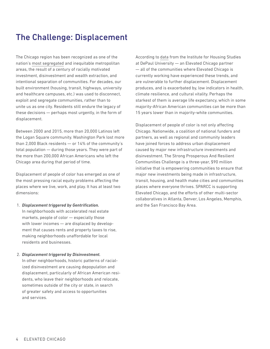# The Challenge: Displacement

The Chicago region has been recognized as one of the nation's [most segregated](http://www.metroplanning.org/work/project/33) and inequitable metropolitan areas, the result of a century of racially motivated investment, disinvestment and wealth extraction, and intentional separation of communities. For decades, our built environment (housing, transit, highways, university and healthcare campuses, etc.) was used to disconnect, exploit and segregate communities, rather than to unite us as one city. Residents still endure the legacy of these decisions — perhaps most urgently, in the form of displacement.

Between 2000 and 2015, more than 20,000 Latinos left the Logan Square community. Washington Park lost more than 2,000 Black residents — or 14% of the community's total population — during those years. They were part of the more than 200,000 African Americans who left the Chicago area during that period of time.

Displacement of people of color has emerged as one of the most pressing racial equity problems affecting the places where we live, work, and play. It has at least two dimensions:

#### 1. *Displacement triggered by Gentrification.*

In neighborhoods with accelerated real estate markets, people of color — especially those with lower incomes — are displaced by development that causes rents and property taxes to rise, making neighborhoods unaffordable for local residents and businesses.

#### 2. *Displacement triggered by Disinvestment.*

In other neighborhoods, historic patterns of racialized disinvestment are causing depopulation and displacement, particularly of African American residents, who leave their neighborhoods and relocate, sometimes outside of the city or state, in search of greater safety and access to opportunities and services.

According to [data](https://www.housingstudies.org/research-publications/publications/Mapping-Displacement-Pressure-in-Chicago/) from the Institute for Housing Studies at DePaul University — an Elevated Chicago partner — all of the communities where Elevated Chicago is currently working have experienced these trends, and are vulnerable to further displacement. Displacement produces, and is exacerbated by, low indicators in health, climate resilience, and cultural vitality. Perhaps the starkest of them is average life expectancy, which in some majority-African American communities can be more than 15 years lower than in majority-white communities.

Displacement of people of color is not only affecting Chicago. Nationwide, a coalition of national funders and partners, as well as regional and community leaders have joined forces to address urban displacement caused by major new infrastructure investments and disinvestment. The Strong Prosperous And Resilient Communities Challenge is a three-year, \$90 million initiative that is empowering communities to ensure that major new investments being made in infrastructure, transit, housing, and health make cities and communities places where everyone thrives. SPARCC is supporting Elevated Chicago, and the efforts of other multi-sector collaboratives in Atlanta, Denver, Los Angeles, Memphis, and the San Francisco Bay Area.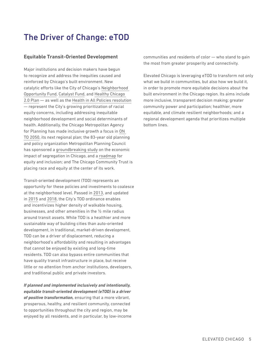# The Driver of Change: eTOD

#### **Equitable Transit-Oriented Development**

Major institutions and decision makers have begun to recognize and address the inequities caused and reinforced by Chicago's built environment. New catalytic efforts like the City of Chicago's [Neighborhood](https://www.cityofchicago.org/city/en/depts/dcd/supp_info/neighborhood-opportunity-fund0.html)  [Opportunity Fund](https://www.cityofchicago.org/city/en/depts/dcd/supp_info/neighborhood-opportunity-fund0.html), [Catalyst Fund,](https://chicatalystfund.com/) and [Healthy Chicago](https://www.cityofchicago.org/city/en/depts/cdph/provdrs/healthychicago.html)  [2.0 Plan](https://www.cityofchicago.org/city/en/depts/cdph/provdrs/healthychicago.html) — as well as the [Health in All Policies resolution](https://www.cityofchicago.org/content/dam/city/depts/cdph/CDPH/HealthInAllPoliciesReport_08012017.pdf) — represent the City's growing prioritization of racial equity concerns, including addressing inequitable neighborhood development and social determinants of health. Additionally, the Chicago Metropolitan Agency for Planning has made inclusive growth a focus in [ON](http://www.cmap.illinois.gov/onto2050)  [TO 2050](http://www.cmap.illinois.gov/onto2050), its next regional plan; the 83-year old planning and policy organization Metropolitan Planning Council has sponsored a [groundbreaking study](https://www.metroplanning.org/uploads/cms/documents/cost-of-segregation.pdf) on the economic impact of segregation in Chicago, and a [roadmap](https://www.metroplanning.org/uploads/cms/documents/cost-of-segregation-roadmap.pdf) for equity and inclusion; and The Chicago Community Trust is placing race and equity at the center of its work.

Transit-oriented development (TOD) represents an opportunity for these policies and investments to coalesce at the neighborhood level. Passed in [2013,](https://pic.datamade.us/chicago/document/?filename=SO%202013-5995&document_url=http://ord.legistar.com/Chicago/attachments/2e12405f-10c8-4835-a8d4-460a9c1eec4c.pdf) and updated in [2015](https://www.cityofchicago.org/city/en/depts/mayor/press_room/press_releases/2015/july/mayor-emanuel-introduces-transit-oriented-development-reform-ord.html) and [2018](https://www.cityofchicago.org/city/en/depts/mayor/press_room/press_releases/2018/june/TransitOrientedDevelopment.html), the City's TOD ordinance enables and incentivizes higher density of walkable housing, businesses, and other amenities in the ½ mile radius around transit assets. While TOD is a healthier and more sustainable way of building cities than auto-oriented development, in traditional, market-driven development, TOD can be a driver of displacement, reducing a neighborhood's affordability and resulting in advantages that cannot be enjoyed by existing and long-time residents. TOD can also bypass entire communities that have quality transit infrastructure in place, but receive little or no attention from anchor institutions, developers, and traditional public and private investors.

*If planned and implemented inclusively and intentionally, equitable transit-oriented development (eTOD) is a driver of positive transformation,* ensuring that a more vibrant, prosperous, healthy, and resilient community, connected to opportunities throughout the city and region, may be enjoyed by all residents, and in particular, by low-income communities and residents of color — who stand to gain the most from greater prosperity and connectivity.

Elevated Chicago is leveraging eTOD to transform not only what we build in communities, but also how we build it, in order to promote more equitable decisions about the built environment in the Chicago region. Its aims include more inclusive, transparent decision making; greater community power and participation; healthier, more equitable, and climate resilient neighborhoods; and a regional development agenda that prioritizes multiple bottom lines.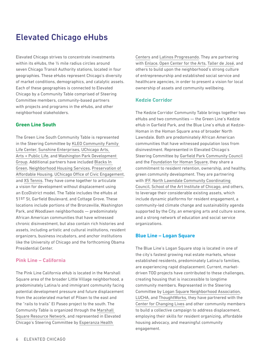# Elevated Chicago eHubs

Elevated Chicago strives to concentrate investments within its eHubs, the ½ mile radius circles around seven Chicago Transit Authority stations, located in four geographies. These eHubs represent Chicago's diversity of market conditions, demographics, and catalytic assets. Each of these geographies is connected to Elevated Chicago by a Community Table comprised of Steering Committee members, community-based partners with projects and programs in the eHubs, and other neighborhood stakeholders.

#### **Green Line South**

The Green Line South Community Table is represented in the Steering Committee by [KLEO Community Family](http://thekleocenter.org/)  [Life Center](http://thekleocenter.org/), [Sunshine Enterprises,](https://sunshineenterprises.com/) [UChicago Arts,](https://arts.uchicago.edu/artsandpubliclife)  [Arts + Public Life,](https://arts.uchicago.edu/artsandpubliclife) and [Washington Park Development](https://etod.cnt.org/Developing-eTOD-Incrementally-in-Washington-Park.php)  [Group](https://etod.cnt.org/Developing-eTOD-Incrementally-in-Washington-Park.php). Additional partners have included [Blacks In](https://twitter.com/naomidavisbig)  [Green,](https://twitter.com/naomidavisbig) [Neighborhood Housing Services,](https://www.nhschicago.org/) [Preservation of](http://www.poah.org/)  [Affordable Housing,](http://www.poah.org/) [UChicago Office of Civic Engagement,](https://civicengagement.uchicago.edu/) and [XS Tennis](https://xstennis.org/). They have come together to articulate a vision for development without displacement using an EcoDistrict model. The Table includes the eHubs at 51st St, Garfield Boulevard, and Cottage Grove. These locations include portions of the Bronzeville, Washington Park, and Woodlawn neighborhoods — predominately African American communities that have witnessed chronic disinvestment, but also contain rich histories and assets, including artistic and cultural institutions, resident organizers, business incubators, and anchor institutions like the University of Chicago and the forthcoming Obama Presidential Center.

#### **Pink Line – California**

The Pink Line California eHub is located in the Marshall Square area of the broader Little Village neighborhood, a predominately Latina/o and immigrant community facing potential development pressure and future displacement from the accelerated market of Pilsen to the east and the "rails to trails" El Paseo project to the south. The Community Table is organized through the [Marshall](https://msresourcenetwork.wordpress.com/)  [Square Resource Network,](https://msresourcenetwork.wordpress.com/) and represented in Elevated Chicago's Steering Committee by [Esperanza Health](http://www.esperanzachicago.org/) 

[Centers](http://www.esperanzachicago.org/) and [Latinos Progresando](https://latinospro.org/). They are partnering with [Enlace](http://www.enlacechicago.org/), [Open Center for the Arts](http://www.opencenterforthearts.org/), [Taller de José,](https://tallerdejose.org/) and others to build upon the neighborhood's strong culture of entrepreneurship and established social service and healthcare agencies, in order to present a vision for local ownership of assets and community wellbeing.

#### **Kedzie Corridor**

The Kedzie Corridor Community Table brings together two eHubs and two communities — the Green Line's Kedzie eHub in Garfield Park, and the Blue Line's eHub at Kedzie-Homan in the Homan Square area of broader North Lawndale. Both are predominately African American communities that have witnessed population loss from disinvestment. Represented in Elevated Chicago's Steering Committee by [Garfield Park Community Council](http://www.gpcommunitycouncil.org/index.html) and the [Foundation for Homan Square](http://www.homansquare.org/about/foundation-for-homan-square/), they share a commitment to resident retention, ownership, and healthy, green community development. They are partnering with [IFF](https://www.iff.org/), [North Lawndale Community Coordinating](https://nlcccplanning.org/)  [Council](https://nlcccplanning.org/), [School of the Art Institute of Chicago](http://www.saic.edu/), and others, to leverage their considerable existing assets, which include dynamic platforms for resident engagement, a community-led climate change and sustainability agenda supported by the City, an emerging arts and culture scene, and a strong network of education and social service organizations.

#### **Blue Line – Logan Square**

The Blue Line's Logan Square stop is located in one of the city's fastest growing real estate markets, whose established residents, predominately Latina/o families, are experiencing rapid displacement. Current, marketdriven TOD projects have contributed to these challenges, creating housing that is inaccessible to longtime community members. Represented in the Steering Committee by [Logan Square Neighborhood Association](http://www.lsna.net/index.html), [LUCHA](https://lucha.org/), and [ThoughtWorks](https://www.thoughtworks.com/), they have partnered with the [Center for Changing Lives](https://cclconnect.org/) and other community members to build a collective campaign to address displacement, employing their skills for resident organizing, affordable housing advocacy, and meaningful community engagement.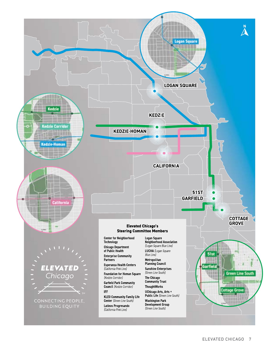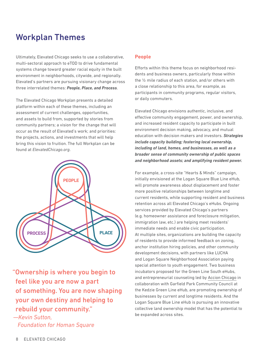# Workplan Themes

Ultimately, Elevated Chicago seeks to use a collaborative, multi-sectoral approach to eTOD to drive fundamental systems change toward greater racial equity in the built environment in neighborhoods, citywide, and regionally. Elevated's partners are pursuing visionary change across three interrelated themes: *People, Place, and Process*.

The Elevated Chicago Workplan presents a detailed platform within each of these themes, including an assessment of current challenges, opportunities, and assets to build from, supported by stories from community partners; a vision for the change that will occur as the result of Elevated's work; and priorities: the projects, actions, and investments that will help bring this vision to fruition. The full Workplan can be found at *ElevatedChicago.org*.



 "Ownership is where you begin to feel like you are now a part of something. You are now shaping your own destiny and helping to rebuild your community."

 *— Kevin Sutton, Foundation for Homan Square* 

#### **People**

Efforts within this theme focus on neighborhood residents and business owners, particularly those within the ½ mile radius of each station, and/or others with a close relationship to this area, for example, as participants in community programs, regular visitors, or daily commuters.

Elevated Chicago envisions authentic, inclusive, and effective community engagement, power, and ownership, and increased resident capacity to participate in built environment decision making, advocacy, and mutual education with decision makers and investors. *Strategies include capacity building; fostering local ownership, including of land, homes, and businesses, as well as a broader sense of community ownership of public spaces and neighborhood assets; and amplifying resident power.* 

For example, a cross-site "Hearts & Minds" campaign, initially envisioned at the Logan Square Blue Line eHub, will promote awareness about displacement and foster more positive relationships between longtime and current residents, while supporting resident and business retention across all Elevated Chicago's eHubs. Ongoing services provided by Elevated Chicago's partners (e.g. homeowner assistance and foreclosure mitigation, immigration law, etc.) are helping meet residents' immediate needs and enable civic participation. At multiple sites, organizations are building the capacity of residents to provide informed feedback on zoning, anchor institution hiring policies, and other community development decisions, with partners like LUCHA and Logan Square Neighborhood Association paying special attention to youth engagement. Two business incubators proposed for the Green Line South eHubs, and entrepreneurial counseling led by [Accion Chicago](https://us.accion.org/) in collaboration with Garfield Park Community Council at the Kedzie Green Line eHub, are promoting ownership of businesses by current and longtime residents. And the Logan Square Blue Line eHub is pursuing an innovative collective land ownership model that has the potential to be expanded across sites.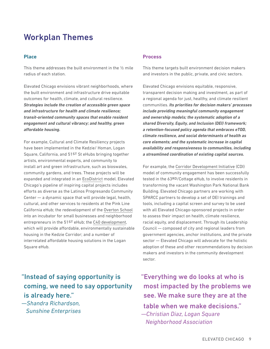# Workplan Themes

#### **Place**

This theme addresses the built environment in the ½ mile radius of each station.

Elevated Chicago envisions vibrant neighborhoods, where the built environment and infrastructure drive equitable outcomes for health, climate, and cultural resilience. *Strategies include the creation of accessible green space and infrastructure for health and climate resilience; transit-oriented community spaces that enable resident engagement and cultural vibrancy; and healthy, green affordable housing.* 

For example, Cultural and Climate Resiliency projects have been implemented in the Kedzie/ Homan, Logan Square, California, and 51st St eHubs bringing together artists, environmental experts, and community to install art and green infrastructure, such as bioswales, community gardens, and trees. These projects will be expanded and integrated in an [EcoDistrict](https://www.cnt.org/projects/ecodistricts) model. Elevated Chicago's pipeline of inspiring capital projects includes efforts as diverse as the Latinos Progresando Community Center — a dynamic space that will provide legal, health, cultural, and other services to residents at the Pink Line California eHub; the redevelopment of the [Overton School](https://openhousechicago.org/sites/site/overton-business-technology-incubator-overton-school/) into an incubator for small businesses and neighborhood entrepreneurs in the 51ST eHub; the [C40 development,](https://www.cityofchicago.org/city/en/depts/dcd/supp_info/c40-reinventing-cities-competition.html) which will provide affordable, environmentally sustainable housing in the Kedzie Corridor; and a number of interrelated affordable housing solutions in the Logan Square eHub.

### "Instead of saying opportunity is coming, we need to say opportunity is already here."

 *— Shandra Richardson, Sunshine Enterprises*

#### **Process**

This theme targets built environment decision makers and investors in the public, private, and civic sectors.

Elevated Chicago envisions equitable, responsive, transparent decision making and investment, as part of a regional agenda for just, healthy, and climate resilient communities. *Its priorities for decision makers' processes include providing meaningful community engagement and ownership models; the systematic adoption of a shared Diversity, Equity, and Inclusion (DEI) framework; a retention-focused policy agenda that embraces eTOD, climate resilience, and social determinants of health as core elements; and the systematic increase in capital availability and responsiveness to communities, including a streamlined coordination of existing capital sources.* 

For example, the [Corridor Development Initiative](http://www.metroplanning.org/work/project/30/subpage/3?utm_source=%2fcdi&utm_medium=web&utm_campaign=redirect&RedirectReferrer=https%3a%2f%2fwww.google.com%2f) (CDI) model of community engagement has been successfully tested in the 63RD/Cottage eHub, to involve residents in transforming the vacant Washington Park National Bank Building. Elevated Chicago partners are working with SPARCC partners to develop a set of DEI trainings and tools, including a capital screen and survey to be used with all Elevated Chicago-sponsored projects in order to assess their impact on health, climate resilience, racial equity, and displacement. Through its Leadership Council — composed of city and regional leaders from government agencies, anchor institutions, and the private sector — Elevated Chicago will advocate for the holistic adoption of these and other recommendations by decision makers and investors in the community development sector.

 "Everything we do looks at who is most impacted by the problems we see. We make sure they are at the

table when we make decisions."  *—Christian Diaz, Logan Square* 

*Neighborhood Association*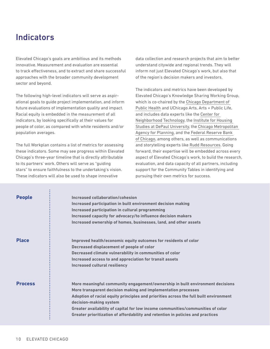# Indicators

Elevated Chicago's goals are ambitious and its methods innovative. Measurement and evaluation are essential to track effectiveness, and to extract and share successful approaches with the broader community development sector and beyond.

The following high-level indicators will serve as aspirational goals to guide project implementation, and inform future evaluations of implementation quality and impact. Racial equity is embedded in the measurement of all indicators, by looking specifically at their values for people of color, as compared with white residents and/or population averages.

The full Workplan contains a list of metrics for assessing these indicators. Some may see progress within Elevated Chicago's three-year timeline that is directly attributable to its partners' work. Others will serve as "guiding stars" to ensure faithfulness to the undertaking's vision. These indicators will also be used to shape innovative

data collection and research projects that aim to better understand citywide and regional trends. They will inform not just Elevated Chicago's work, but also that of the region's decision makers and investors.

The indicators and metrics have been developed by Elevated Chicago's Knowledge Sharing Working Group, which is co-chaired by the [Chicago Department of](https://www.cityofchicago.org/city/en/depts/cdph.html)  [Public Health](https://www.cityofchicago.org/city/en/depts/cdph.html) and UChicago Arts, Arts + Public Life, and includes data experts like the [Center for](https://www.cnt.org/)  [Neighborhood Technology](https://www.cnt.org/), the [Institute for Housing](https://www.housingstudies.org/)  [Studies at DePaul University,](https://www.housingstudies.org/) the [Chicago Metropolitan](http://www.cmap.illinois.gov/)  [Agency for Planning](http://www.cmap.illinois.gov/), and the [Federal Reserve Bank](https://www.chicagofed.org/)  [of Chicago](https://www.chicagofed.org/), among others, as well as communications and storytelling experts like [Rudd Resources](https://ruddresources.net/). Going forward, their expertise will be embedded across every aspect of Elevated Chicago's work, to build the research, evaluation, and data capacity of all partners, including support for the Community Tables in identifying and pursuing their own metrics for success.

| <b>People</b>  | Increased collaboration/cohesion<br>Increased participation in built environment decision making<br>Increased participation in cultural programming<br>Increased capacity for advocacy/to influence decision makers<br>Increased ownership of homes, businesses, land, and other assets                                                                                                                                                 |
|----------------|-----------------------------------------------------------------------------------------------------------------------------------------------------------------------------------------------------------------------------------------------------------------------------------------------------------------------------------------------------------------------------------------------------------------------------------------|
| <b>Place</b>   | Improved health/economic equity outcomes for residents of color<br>Decreased displacement of people of color<br>Decreased climate vulnerability in communities of color<br>Increased access to and appreciation for transit assets<br><b>Increased cultural resiliency</b>                                                                                                                                                              |
| <b>Process</b> | More meaningful community engagement/ownership in built environment decisions<br>More transparent decision making and implementation processes<br>Adoption of racial equity principles and priorities across the full built environment<br>decision-making system<br>Greater availability of capital for low income communities/communities of color<br>Greater prioritization of affordability and retention in policies and practices |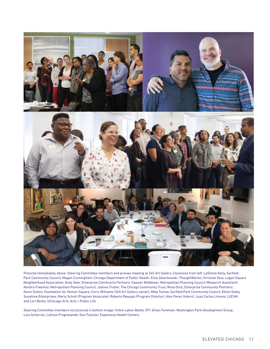

Pictured immediately above: Steering Committee members and proxies meeting at 345 Art Gallery. Clockwise from left: LaShone Kelly, Garfield Park Community Council; Megan Cunningham, Chicago Department of Public Health; Elize Zelechowski, ThoughtWorks; Christian Diaz, Logan Square Neighborhood Association; Andy Geer, Enterprise Community Partners; Sawyer Middeleer, Metropolitan Planning Council (Research Assistant); Kendra Freeman, Metropolitan Planning Council; Joanna Trotter, The Chicago Community Trust; Rosa Ortiz, Enterprise Community Partners; Kevin Sutton, Foundation for Homan Square; Corry Williams (345 Art Gallery owner); Mike Tomas, Garfield Park Community Council; Ethan Daley, Sunshine Enterprises; Marly Schott (Program Associate); Roberto Requejo (Program Director); Alex Perez (Intern); Juan Carlos Linares, LUCHA; and Lori Berko, UChicago Arts, Arts + Public Life

Steering Committee members not pictured in bottom image: Vickie Lakes-Battle, IFF; Ghian Foreman, Washington Park Development Group; Luis Gutierrez, Latinos Progresando; Dan Fulwiler, Esperanza Health Centers